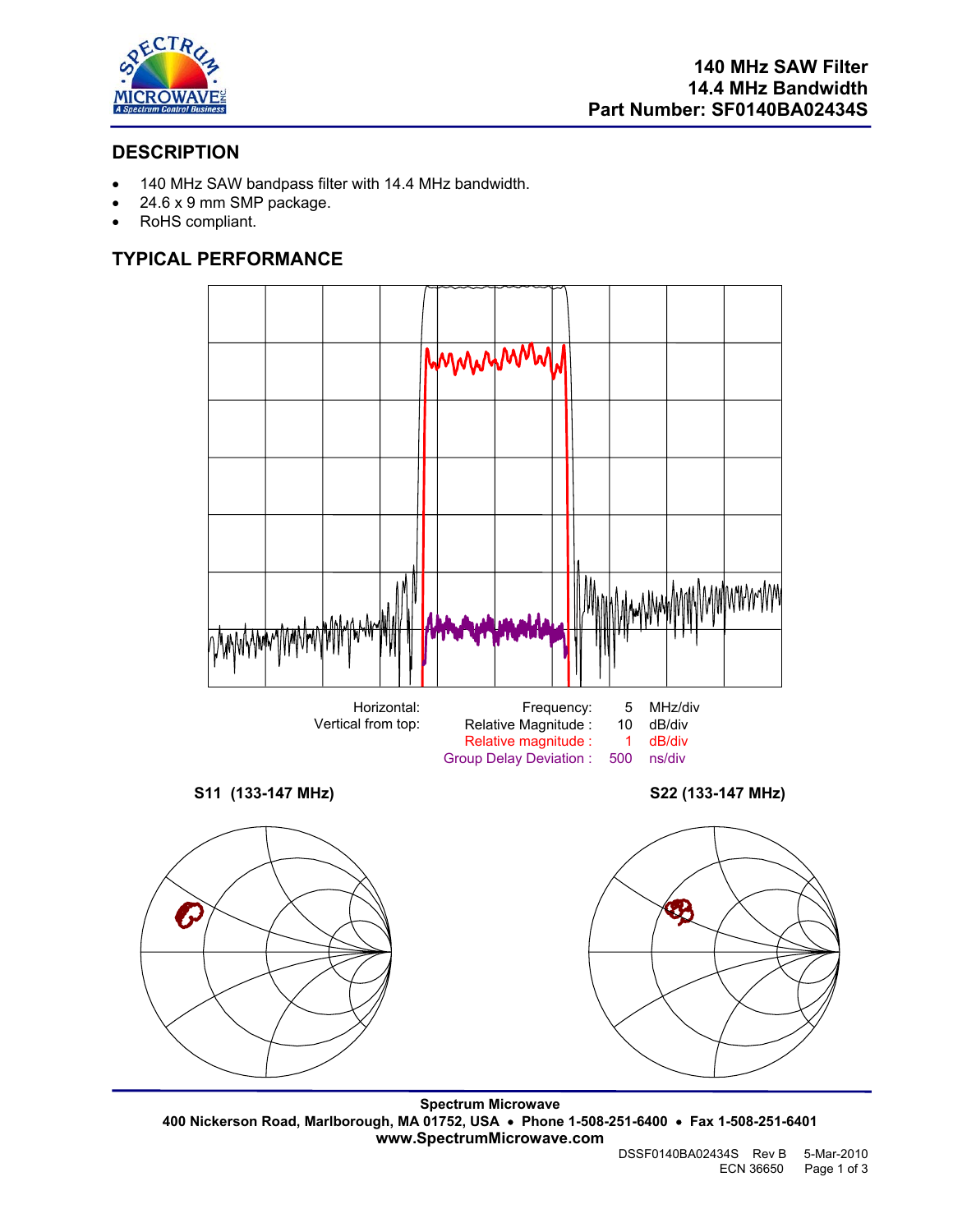

# **DESCRIPTION**

- 140 MHz SAW bandpass filter with 14.4 MHz bandwidth.
- 24.6 x 9 mm SMP package.
- RoHS compliant.

# **TYPICAL PERFORMANCE**



**Spectrum Microwave 400 Nickerson Road, Marlborough, MA 01752, USA** • **Phone 1-508-251-6400** • **Fax 1-508-251-6401 www.SpectrumMicrowave.com**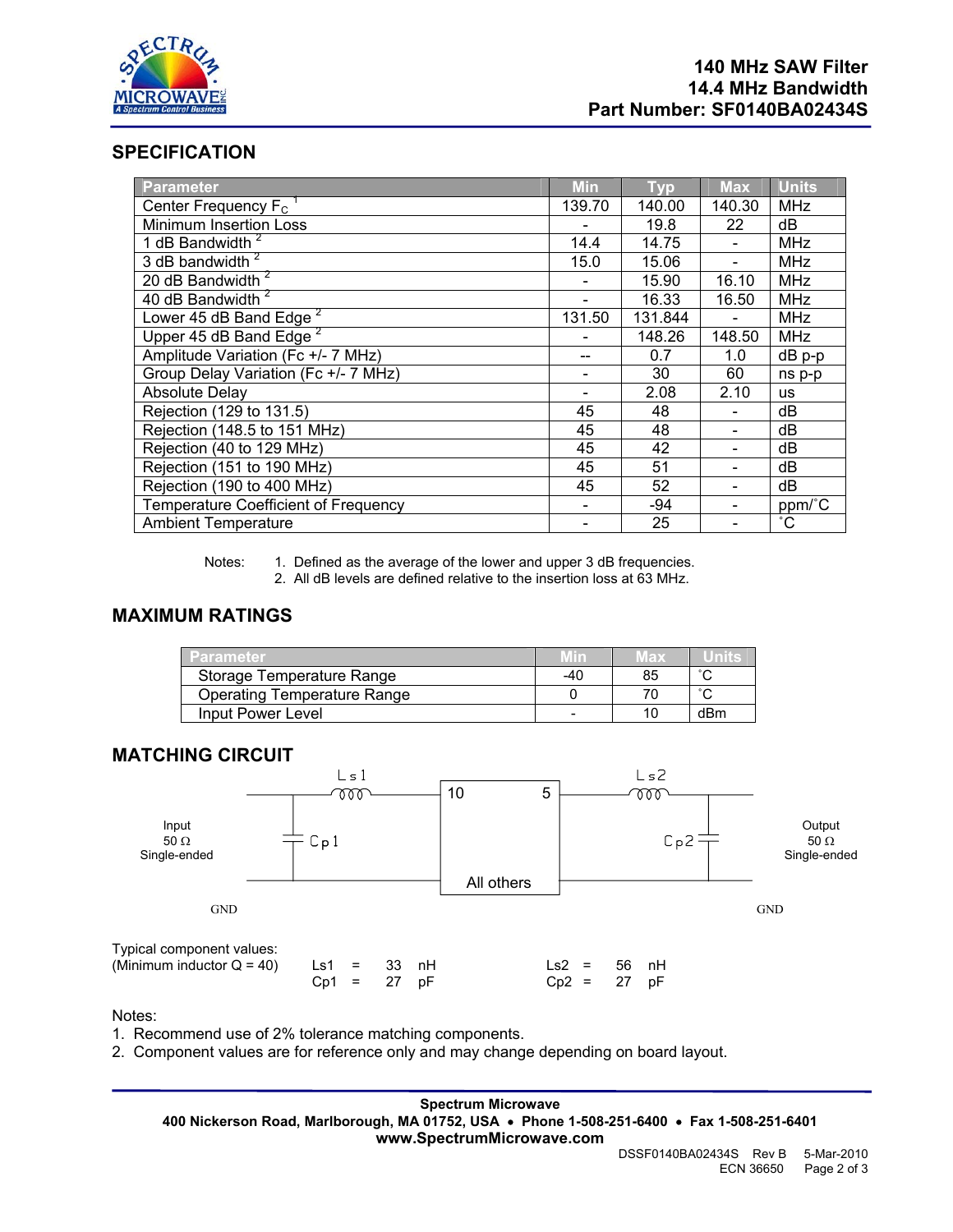

# **SPECIFICATION**

| Parameter                                   | <b>Min</b> | <b>Typ</b> | <b>Max</b> | <b>Units</b> |
|---------------------------------------------|------------|------------|------------|--------------|
| Center Frequency $F_c$                      | 139.70     | 140.00     | 140.30     | <b>MHz</b>   |
| Minimum Insertion Loss                      |            | 19.8       | 22         | dB           |
| 1 dB Bandwidth <sup>2</sup>                 | 14.4       | 14.75      |            | MHz          |
| 3 dB bandwidth <sup>2</sup>                 | 15.0       | 15.06      |            | <b>MHz</b>   |
| 20 dB Bandwidth <sup>2</sup>                |            | 15.90      | 16.10      | <b>MHz</b>   |
| 40 dB Bandwidth <sup>2</sup>                |            | 16.33      | 16.50      | <b>MHz</b>   |
| Lower 45 dB Band Edge <sup>2</sup>          | 131.50     | 131.844    |            | <b>MHz</b>   |
| Upper 45 dB Band Edge <sup>2</sup>          |            | 148.26     | 148.50     | <b>MHz</b>   |
| Amplitude Variation (Fc +/- 7 MHz)          |            | 0.7        | 1.0        | $dB$ p-p     |
| Group Delay Variation (Fc +/- 7 MHz)        |            | 30         | 60         | ns p-p       |
| <b>Absolute Delay</b>                       |            | 2.08       | 2.10       | <b>us</b>    |
| Rejection (129 to 131.5)                    | 45         | 48         |            | dB           |
| Rejection (148.5 to 151 MHz)                | 45         | 48         |            | dB           |
| Rejection (40 to 129 MHz)                   | 45         | 42         |            | dB           |
| Rejection (151 to 190 MHz)                  | 45         | 51         |            | dB           |
| Rejection (190 to 400 MHz)                  | 45         | 52         |            | dB           |
| <b>Temperature Coefficient of Frequency</b> |            | -94        |            | ppm/°C       |
| <b>Ambient Temperature</b>                  |            | 25         |            | $^{\circ}$ C |

Notes: 1. Defined as the average of the lower and upper 3 dB frequencies. 2. All dB levels are defined relative to the insertion loss at 63 MHz.

## **MAXIMUM RATINGS**

| Parameter                          |     | 'lax |        |
|------------------------------------|-----|------|--------|
| Storage Temperature Range          | -40 | 85   | $\sim$ |
| <b>Operating Temperature Range</b> |     |      | $\sim$ |
| Input Power Level                  |     |      | dBm    |

## **MATCHING CIRCUIT**



Notes:

1. Recommend use of 2% tolerance matching components.

2. Component values are for reference only and may change depending on board layout.

**Spectrum Microwave 400 Nickerson Road, Marlborough, MA 01752, USA** • **Phone 1-508-251-6400** • **Fax 1-508-251-6401 www.SpectrumMicrowave.com**